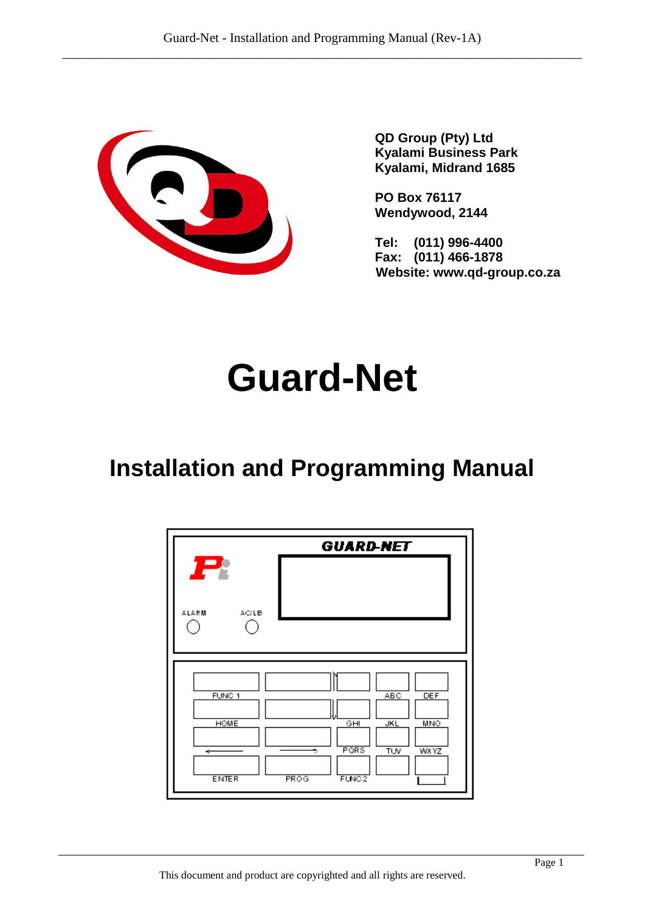

**QD Group (Pty) Ltd Kyalami Business Park Kyalami, Midrand 1685**

**PO Box 76117 Wendywood, 2144**

**Tel: (011) 996-4400 Fax: (011) 466-1878 Website: www.qd-group.co.za**

# **Guard-Net**

## **Installation and Programming Manual**

| P                                                     | <b>GUARD-NET</b>                                                                                                     |
|-------------------------------------------------------|----------------------------------------------------------------------------------------------------------------------|
| ALARM<br>AC/LB                                        |                                                                                                                      |
| FUNC <sub>1</sub><br><b>HOME</b><br>÷<br><b>ENTER</b> | <b>DEF</b><br>ABC<br><b>JKL</b><br>GHI<br>MNO<br>PQRS<br><b>WXYZ</b><br><b>TUV</b><br>÷<br>PROG<br>FUNC <sub>2</sub> |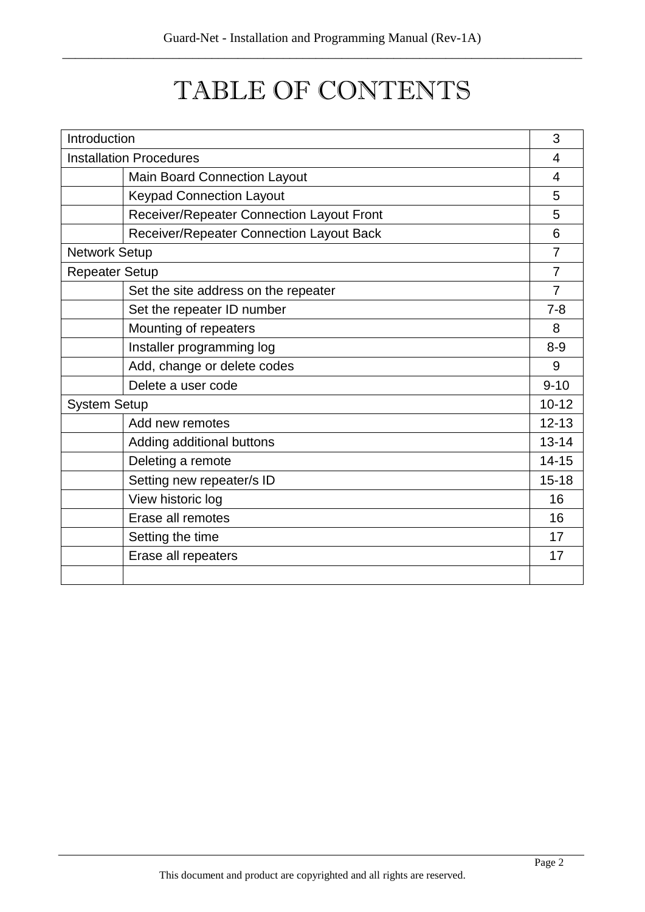## TABLE OF CONTENTS

| Introduction                   |                                           | 3              |
|--------------------------------|-------------------------------------------|----------------|
| <b>Installation Procedures</b> |                                           | 4              |
|                                | <b>Main Board Connection Layout</b>       | $\overline{4}$ |
|                                | <b>Keypad Connection Layout</b>           | 5              |
|                                | Receiver/Repeater Connection Layout Front | 5              |
|                                | Receiver/Repeater Connection Layout Back  | 6              |
| <b>Network Setup</b>           |                                           | $\overline{7}$ |
| <b>Repeater Setup</b>          |                                           | $\overline{7}$ |
|                                | Set the site address on the repeater      | $\overline{7}$ |
|                                | Set the repeater ID number                | $7 - 8$        |
|                                | Mounting of repeaters                     | 8              |
|                                | Installer programming log                 | $8 - 9$        |
|                                | Add, change or delete codes               | 9              |
|                                | Delete a user code                        | $9 - 10$       |
| <b>System Setup</b>            |                                           | $10 - 12$      |
|                                | Add new remotes                           | $12 - 13$      |
|                                | Adding additional buttons                 | $13 - 14$      |
|                                | Deleting a remote                         | $14 - 15$      |
|                                | Setting new repeater/s ID                 | $15 - 18$      |
|                                | View historic log                         | 16             |
|                                | Erase all remotes                         | 16             |
|                                | Setting the time                          | 17             |
|                                | Erase all repeaters                       | 17             |
|                                |                                           |                |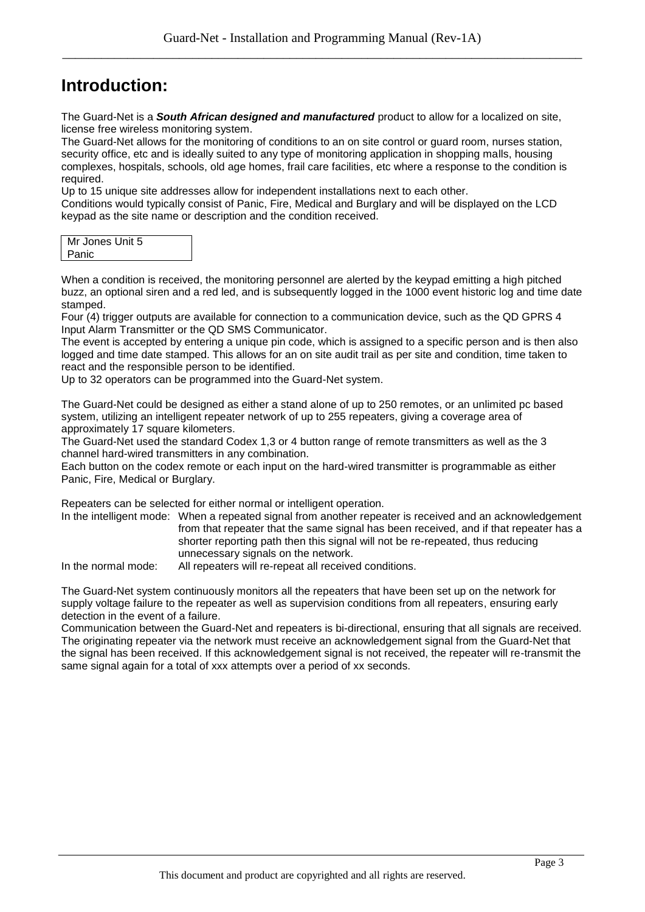## **Introduction:**

The Guard-Net is a *South African designed and manufactured* product to allow for a localized on site, license free wireless monitoring system.

The Guard-Net allows for the monitoring of conditions to an on site control or guard room, nurses station, security office, etc and is ideally suited to any type of monitoring application in shopping malls, housing complexes, hospitals, schools, old age homes, frail care facilities, etc where a response to the condition is required.

Up to 15 unique site addresses allow for independent installations next to each other.

Conditions would typically consist of Panic, Fire, Medical and Burglary and will be displayed on the LCD keypad as the site name or description and the condition received.

| Mr Jones Unit 5 |  |
|-----------------|--|
| Panic           |  |

When a condition is received, the monitoring personnel are alerted by the keypad emitting a high pitched buzz, an optional siren and a red led, and is subsequently logged in the 1000 event historic log and time date stamped.

Four (4) trigger outputs are available for connection to a communication device, such as the QD GPRS 4 Input Alarm Transmitter or the QD SMS Communicator.

The event is accepted by entering a unique pin code, which is assigned to a specific person and is then also logged and time date stamped. This allows for an on site audit trail as per site and condition, time taken to react and the responsible person to be identified.

Up to 32 operators can be programmed into the Guard-Net system.

The Guard-Net could be designed as either a stand alone of up to 250 remotes, or an unlimited pc based system, utilizing an intelligent repeater network of up to 255 repeaters, giving a coverage area of approximately 17 square kilometers.

The Guard-Net used the standard Codex 1,3 or 4 button range of remote transmitters as well as the 3 channel hard-wired transmitters in any combination.

Each button on the codex remote or each input on the hard-wired transmitter is programmable as either Panic, Fire, Medical or Burglary.

Repeaters can be selected for either normal or intelligent operation.

In the intelligent mode: When a repeated signal from another repeater is received and an acknowledgement from that repeater that the same signal has been received, and if that repeater has a shorter reporting path then this signal will not be re-repeated, thus reducing unnecessary signals on the network.

In the normal mode: All repeaters will re-repeat all received conditions.

The Guard-Net system continuously monitors all the repeaters that have been set up on the network for supply voltage failure to the repeater as well as supervision conditions from all repeaters, ensuring early detection in the event of a failure.

Communication between the Guard-Net and repeaters is bi-directional, ensuring that all signals are received. The originating repeater via the network must receive an acknowledgement signal from the Guard-Net that the signal has been received. If this acknowledgement signal is not received, the repeater will re-transmit the same signal again for a total of xxx attempts over a period of xx seconds.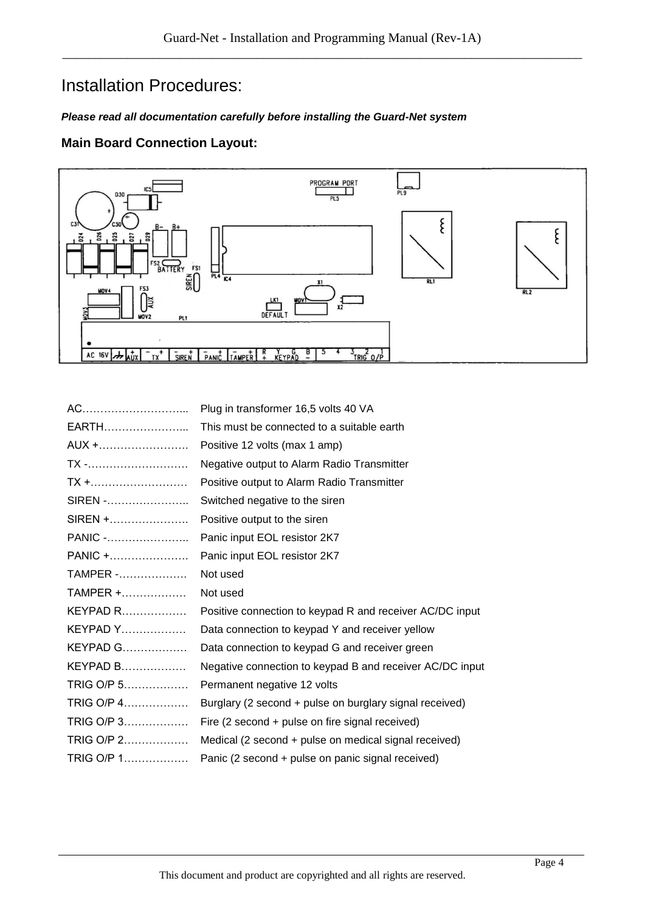## Installation Procedures:

#### *Please read all documentation carefully before installing the Guard-Net system*

#### **Main Board Connection Layout:**



| AC                                           | Plug in transformer 16,5 volts 40 VA                     |
|----------------------------------------------|----------------------------------------------------------|
| EARTH                                        | This must be connected to a suitable earth               |
| AUX +                                        | Positive 12 volts (max 1 amp)                            |
| TX -                                         | Negative output to Alarm Radio Transmitter               |
| $TX + \dots + \dots + \dots + \dots + \dots$ | Positive output to Alarm Radio Transmitter               |
| SIREN -                                      | Switched negative to the siren                           |
| SIREN +                                      | Positive output to the siren                             |
| PANIC -                                      | Panic input EOL resistor 2K7                             |
| PANIC +                                      | Panic input EOL resistor 2K7                             |
| <b>TAMPER</b> -                              | Not used                                                 |
| $TAMPER + \dots \dots \dots \dots$           | Not used                                                 |
| $KEYPAD$ R                                   | Positive connection to keypad R and receiver AC/DC input |
| $KEYPAD Y$                                   | Data connection to keypad Y and receiver yellow          |
| KEYPAD G                                     | Data connection to keypad G and receiver green           |
| <b>KEYPAD B</b>                              | Negative connection to keypad B and receiver AC/DC input |
| TRIG O/P 5                                   | Permanent negative 12 volts                              |
| TRIG O/P 4                                   | Burglary (2 second + pulse on burglary signal received)  |
| TRIG O/P 3                                   | Fire (2 second + pulse on fire signal received)          |
| TRIG O/P 2                                   | Medical (2 second + pulse on medical signal received)    |
| TRIG O/P 1                                   | Panic (2 second + pulse on panic signal received)        |
|                                              |                                                          |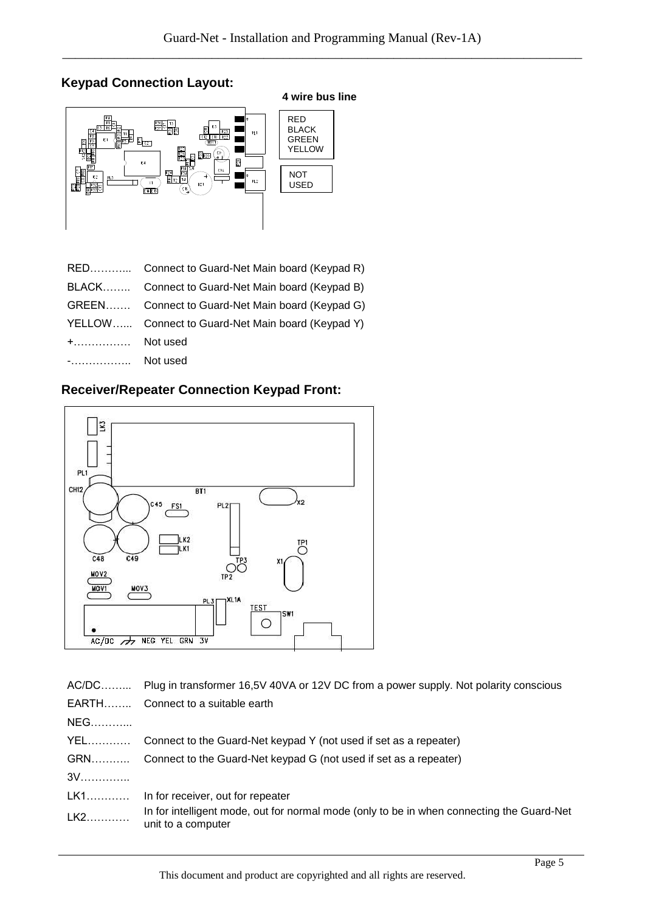## **Keypad Connection Layout:**



|              | RED Connect to Guard-Net Main board (Keypad R)    |
|--------------|---------------------------------------------------|
|              | BLACK Connect to Guard-Net Main board (Keypad B)  |
|              | GREEN Connect to Guard-Net Main board (Keypad G)  |
|              | YELLOW Connect to Guard-Net Main board (Keypad Y) |
| $+$ Not used |                                                   |
| - Not used   |                                                   |

### **Receiver/Repeater Connection Keypad Front:**



| AC/DC      | Plug in transformer 16,5V 40VA or 12V DC from a power supply. Not polarity conscious                            |
|------------|-----------------------------------------------------------------------------------------------------------------|
|            | EARTH Connect to a suitable earth                                                                               |
| NEG        |                                                                                                                 |
| YEL        | Connect to the Guard-Net keypad Y (not used if set as a repeater)                                               |
| <b>GRN</b> | Connect to the Guard-Net keypad G (not used if set as a repeater)                                               |
| $3V$       |                                                                                                                 |
| LK1        | In for receiver, out for repeater                                                                               |
| LK2        | In for intelligent mode, out for normal mode (only to be in when connecting the Guard-Net<br>unit to a computer |
|            |                                                                                                                 |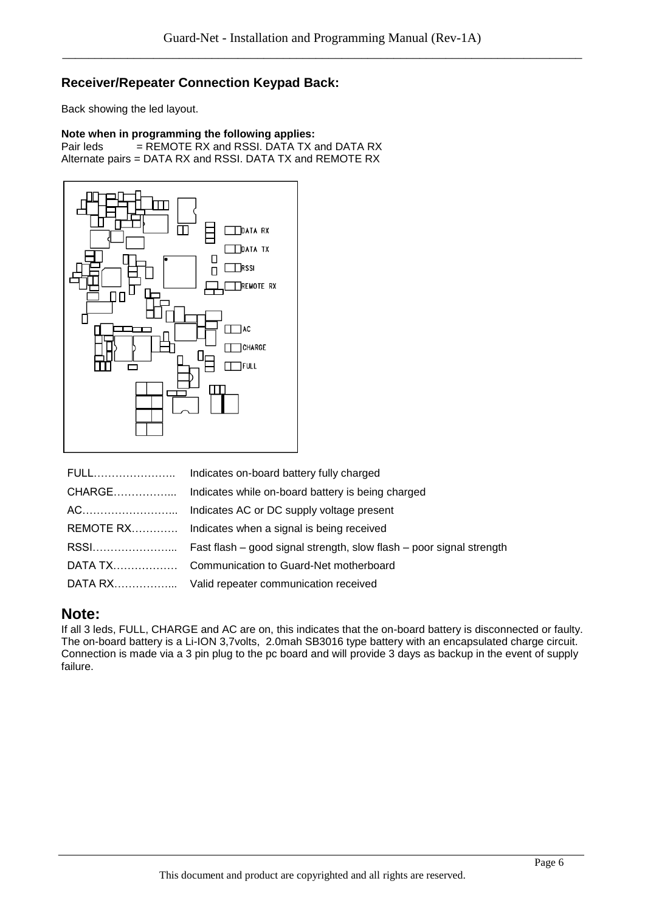#### **Receiver/Repeater Connection Keypad Back:**

Back showing the led layout.

#### **Note when in programming the following applies:**<br>Pair leds = REMOTE RX and RSSI. DATA TX a  $=$  REMOTE RX and RSSI. DATA TX and DATA RX Alternate pairs = DATA RX and RSSI. DATA TX and REMOTE RX



### **Note:**

If all 3 leds, FULL, CHARGE and AC are on, this indicates that the on-board battery is disconnected or faulty. The on-board battery is a Li-ION 3,7volts, 2.0mah SB3016 type battery with an encapsulated charge circuit. Connection is made via a 3 pin plug to the pc board and will provide 3 days as backup in the event of supply failure.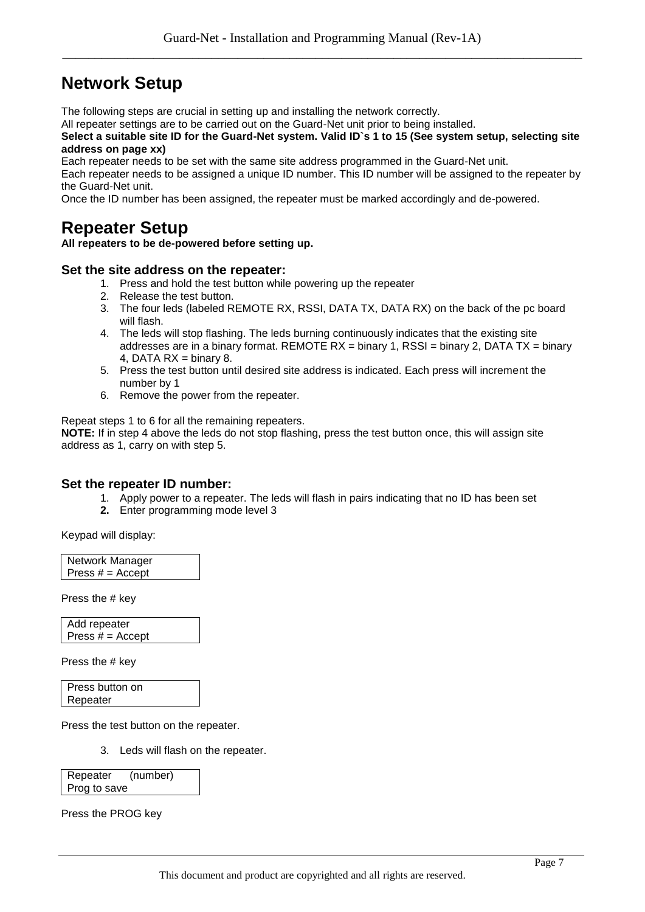## **Network Setup**

The following steps are crucial in setting up and installing the network correctly.

All repeater settings are to be carried out on the Guard-Net unit prior to being installed.

**Select a suitable site ID for the Guard-Net system. Valid ID`s 1 to 15 (See system setup, selecting site address on page xx)**

Each repeater needs to be set with the same site address programmed in the Guard-Net unit.

Each repeater needs to be assigned a unique ID number. This ID number will be assigned to the repeater by the Guard-Net unit.

Once the ID number has been assigned, the repeater must be marked accordingly and de-powered.

## **Repeater Setup**

**All repeaters to be de-powered before setting up.**

#### **Set the site address on the repeater:**

- 1. Press and hold the test button while powering up the repeater
- 2. Release the test button.
- 3. The four leds (labeled REMOTE RX, RSSI, DATA TX, DATA RX) on the back of the pc board will flash.
- 4. The leds will stop flashing. The leds burning continuously indicates that the existing site addresses are in a binary format. REMOTE  $RX =$  binary 1, RSSI = binary 2, DATA TX = binary 4, DATA  $RX = binary 8$ .
- 5. Press the test button until desired site address is indicated. Each press will increment the number by 1
- 6. Remove the power from the repeater.

Repeat steps 1 to 6 for all the remaining repeaters.

**NOTE:** If in step 4 above the leds do not stop flashing, press the test button once, this will assign site address as 1, carry on with step 5.

#### **Set the repeater ID number:**

- 1. Apply power to a repeater. The leds will flash in pairs indicating that no ID has been set
- **2.** Enter programming mode level 3

Keypad will display:

| Network Manager    |  |
|--------------------|--|
| Press $# =$ Accept |  |

Press the # key

Add repeater Press  $# =$  Accept

Press the # key

Press button on Repeater

Press the test button on the repeater.

3. Leds will flash on the repeater.

Repeater (number) Prog to save

Press the PROG key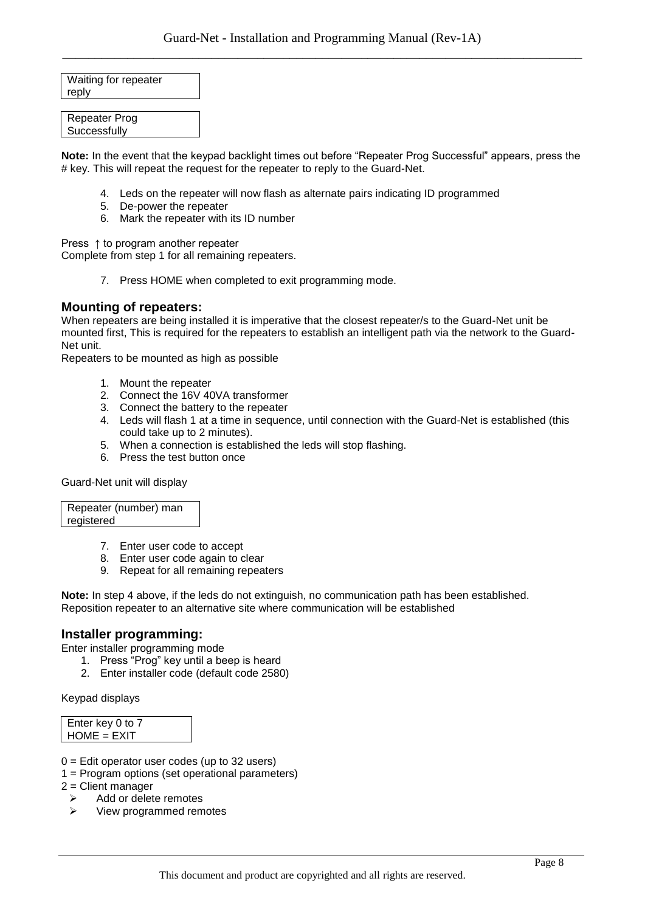Waiting for repeater reply

Repeater Prog **Successfully** 

**Note:** In the event that the keypad backlight times out before "Repeater Prog Successful" appears, press the # key. This will repeat the request for the repeater to reply to the Guard-Net.

- 4. Leds on the repeater will now flash as alternate pairs indicating ID programmed
- 5. De-power the repeater
- 6. Mark the repeater with its ID number

Press ↑ to program another repeater

Complete from step 1 for all remaining repeaters.

7. Press HOME when completed to exit programming mode.

#### **Mounting of repeaters:**

When repeaters are being installed it is imperative that the closest repeater/s to the Guard-Net unit be mounted first, This is required for the repeaters to establish an intelligent path via the network to the Guard-Net unit.

Repeaters to be mounted as high as possible

- 1. Mount the repeater
- 2. Connect the 16V 40VA transformer
- 3. Connect the battery to the repeater
- 4. Leds will flash 1 at a time in sequence, until connection with the Guard-Net is established (this could take up to 2 minutes).
- 5. When a connection is established the leds will stop flashing.
- 6. Press the test button once

Guard-Net unit will display

Repeater (number) man registered

- 7. Enter user code to accept
- 8. Enter user code again to clear
- 9. Repeat for all remaining repeaters

**Note:** In step 4 above, if the leds do not extinguish, no communication path has been established. Reposition repeater to an alternative site where communication will be established

#### **Installer programming:**

Enter installer programming mode

- 1. Press "Prog" key until a beep is heard
- 2. Enter installer code (default code 2580)

Keypad displays

| Enter key 0 to 7 |  |
|------------------|--|
| $HOME = EXIT$    |  |

- $0 =$  Edit operator user codes (up to 32 users)
- 1 = Program options (set operational parameters)

2 = Client manager

- $\triangleright$  Add or delete remotes
- $\triangleright$  View programmed remotes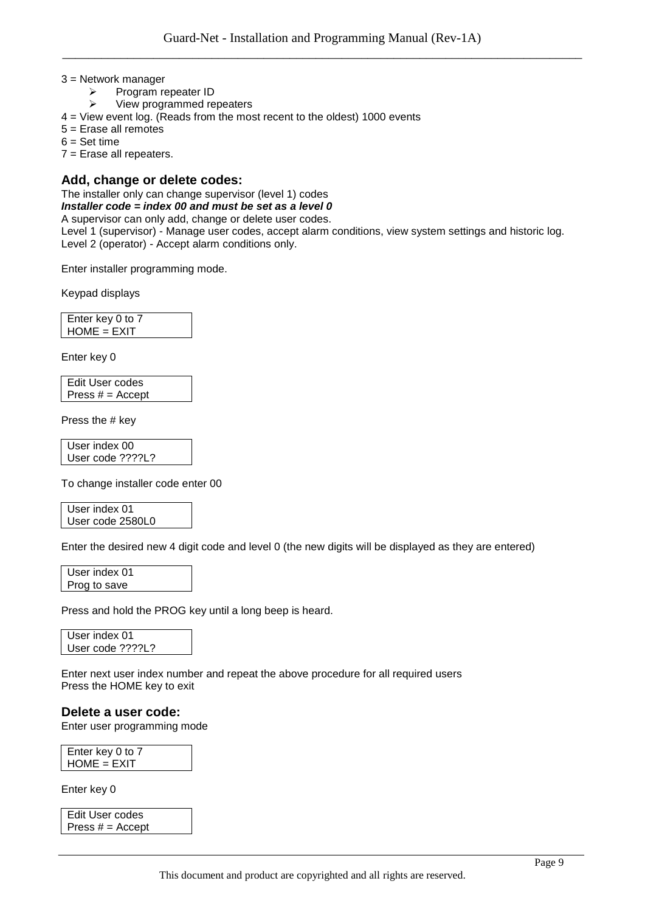#### 3 = Network manager

- $\triangleright$  Program repeater ID<br> $\triangleright$  View programmed re
- View programmed repeaters
- 4 = View event log. (Reads from the most recent to the oldest) 1000 events
- 5 = Erase all remotes
- $6 = Set time$

7 = Erase all repeaters.

#### **Add, change or delete codes:**

The installer only can change supervisor (level 1) codes

#### *Installer code = index 00 and must be set as a level 0*

#### A supervisor can only add, change or delete user codes.

Level 1 (supervisor) - Manage user codes, accept alarm conditions, view system settings and historic log. Level 2 (operator) - Accept alarm conditions only.

Enter installer programming mode.

Keypad displays

Enter key 0 to 7 HOME = EXIT

Enter key 0

Edit User codes Press  $# =$  Accept

Press the # key

User index 00 User code ????L?

To change installer code enter 00

User index 01 User code 2580L0

Enter the desired new 4 digit code and level 0 (the new digits will be displayed as they are entered)

User index 01 Prog to save

Press and hold the PROG key until a long beep is heard.

User index 01 User code ????L?

Enter next user index number and repeat the above procedure for all required users Press the HOME key to exit

**Delete a user code:**

Enter user programming mode

Enter key 0 to 7 HOME = EXIT

Enter key 0

Edit User codes Press  $# =$  Accept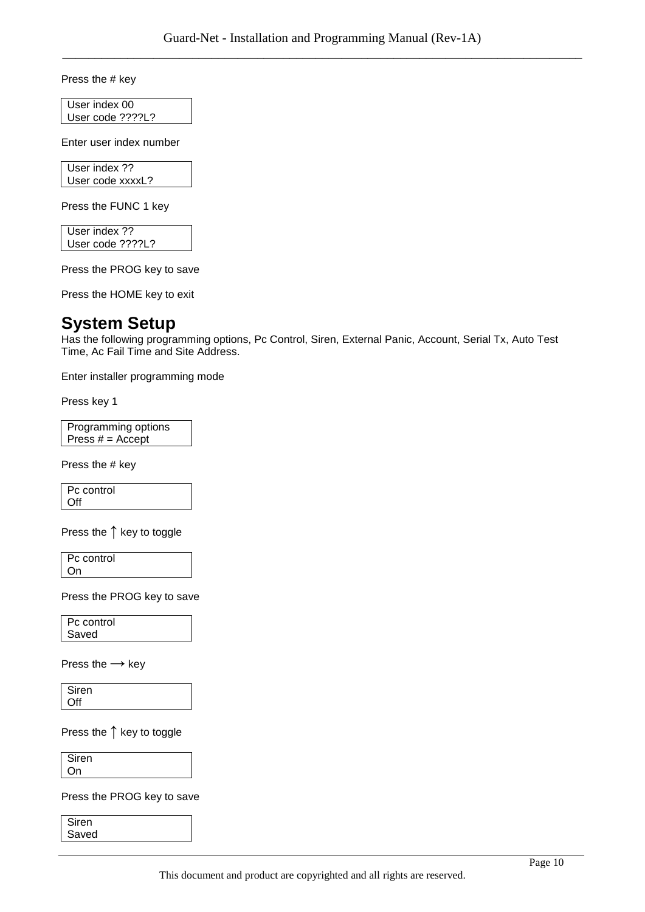Press the # key

User index 00 User code ????L?

Enter user index number

User index ?? User code xxxxL?

Press the FUNC 1 key

User index ?? User code ????L?

Press the PROG key to save

Press the HOME key to exit

## **System Setup**

Has the following programming options, Pc Control, Siren, External Panic, Account, Serial Tx, Auto Test Time, Ac Fail Time and Site Address.

Enter installer programming mode

Press key 1

Programming options Press  $# =$  Accept

Press the # key

Pc control Off

Press the **↑** key to toggle

Pc control On

Press the PROG key to save

Pc control Saved

Press the **→** key

Siren **Off** 

Press the **↑** key to toggle

Siren On

Press the PROG key to save

Siren Saved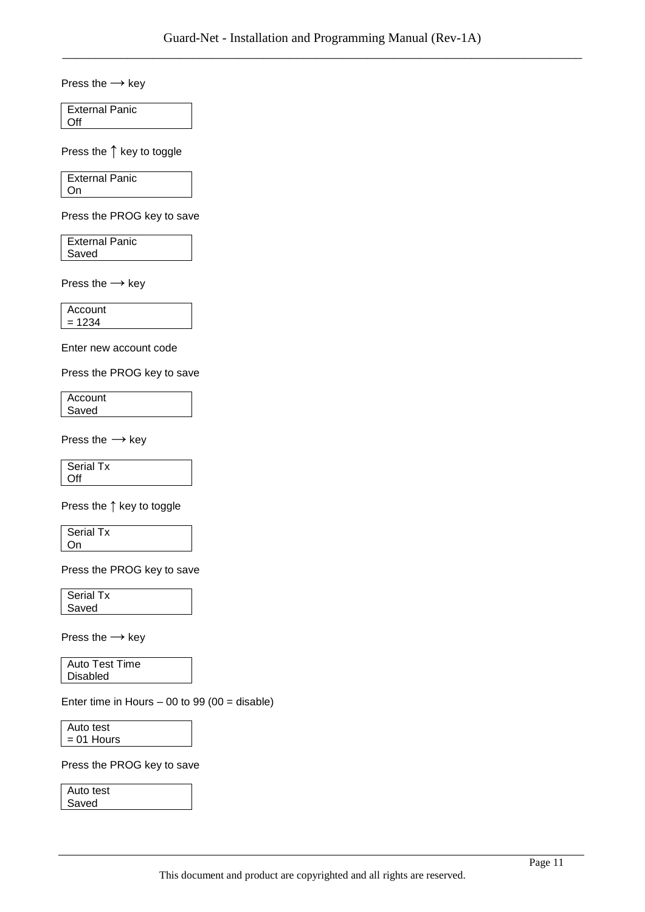Press the **→** key

External Panic **Off** 

Press the **↑** key to toggle

External Panic On

Press the PROG key to save

External Panic Saved

Press the **→** key

Account  $= 1234$ 

Enter new account code

Press the PROG key to save

**Account** Saved

Press the **→** key

Serial Tx Off

Press the **↑** key to toggle

Serial Tx On

Press the PROG key to save

Serial Tx Saved

Press the **→** key

Auto Test Time Disabled

Enter time in Hours  $-00$  to 99 (00 = disable)

Auto test  $= 01$  Hours

Press the PROG key to save

Auto test Saved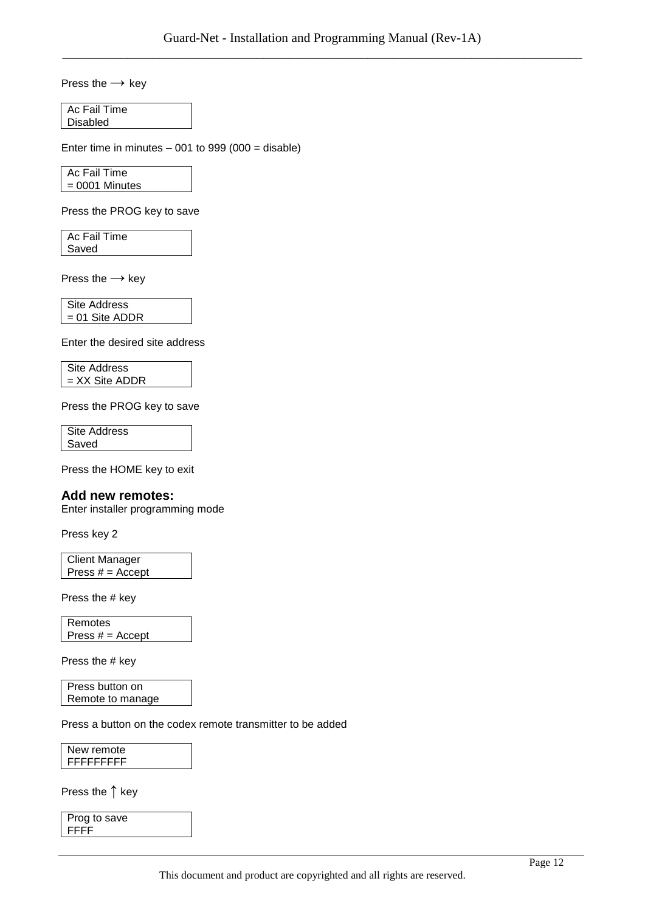Press the **→** key

Ac Fail Time Disabled

Enter time in minutes  $-001$  to 999 (000 = disable)

Ac Fail Time = 0001 Minutes

Press the PROG key to save

Ac Fail Time Saved

Press the **→** key

Site Address = 01 Site ADDR

Enter the desired site address

Site Address = XX Site ADDR

Press the PROG key to save

Site Address Saved

Press the HOME key to exit

#### **Add new remotes:**

Enter installer programming mode

Press key 2

Client Manager Press  $# =$  Accept

Press the # key

Remotes Press  $# =$  Accept

Press the # key

Press button on Remote to manage

Press a button on the codex remote transmitter to be added

New remote FFFFFFFFF

Press the **↑** key

Prog to save FFFF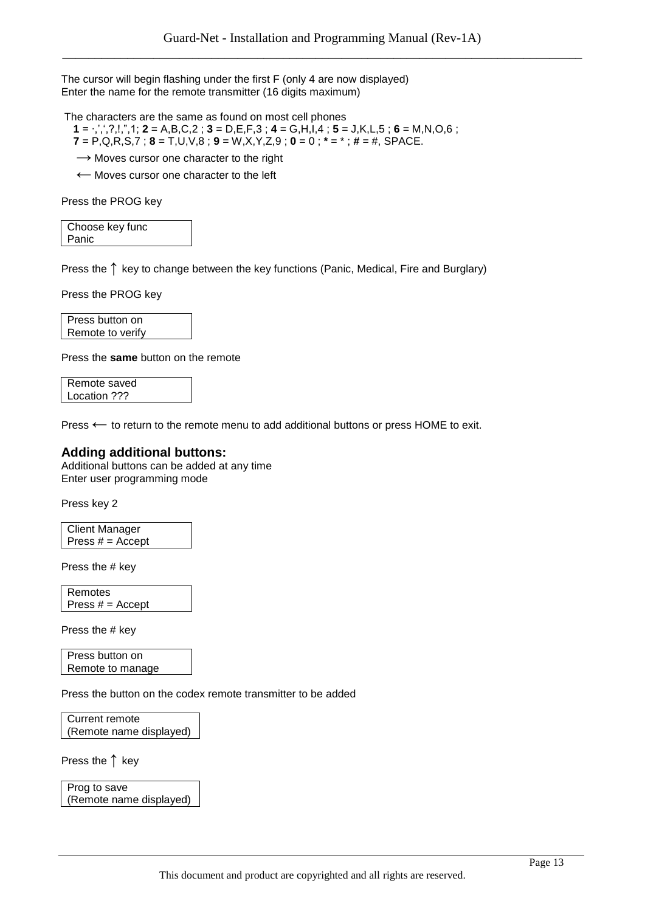The cursor will begin flashing under the first F (only 4 are now displayed) Enter the name for the remote transmitter (16 digits maximum)

The characters are the same as found on most cell phones

- **1** = ∙,",",?,!,",1; **2** = A,B,C,2 ; **3** = D,E,F,3 ; **4** = G,H,I,4 ; **5** = J,K,L,5 ; **6** = M,N,O,6 ;  **7** = P,Q,R,S,7 ; **8** = T,U,V,8 ; **9** = W,X,Y,Z,9 ; **0** = 0 ; **\*** = \* ; **#** = #, SPACE.
- → Moves cursor one character to the right

← Moves cursor one character to the left

Press the PROG key

| Choose key func |  |
|-----------------|--|
| Panic           |  |

Press the **↑** key to change between the key functions (Panic, Medical, Fire and Burglary)

Press the PROG key

Press button on Remote to verify

Press the **same** button on the remote

Remote saved Location ???

Press **←** to return to the remote menu to add additional buttons or press HOME to exit.

#### **Adding additional buttons:**

Additional buttons can be added at any time Enter user programming mode

Press key 2

```
Client Manager
Press # = Accept
```
Press the # key

Remotes Press  $# =$  Accept

Press the # key

Press button on Remote to manage

Press the button on the codex remote transmitter to be added

Current remote (Remote name displayed)

Press the **↑** key

Prog to save (Remote name displayed)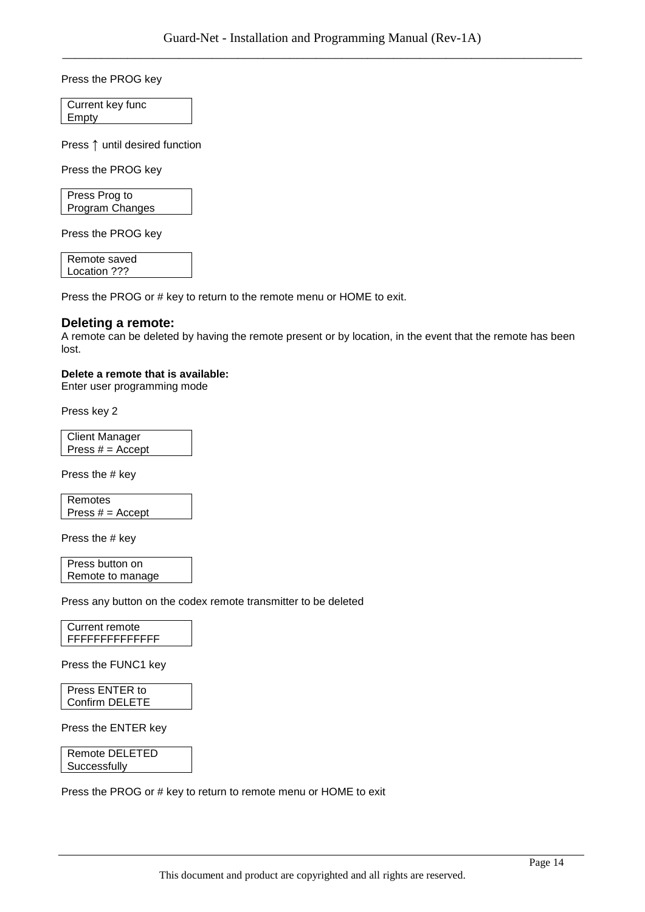Press the PROG key

Current key func Empty

Press **↑** until desired function

Press the PROG key

Press Prog to Program Changes

Press the PROG key

Remote saved Location ???

Press the PROG or # key to return to the remote menu or HOME to exit.

#### **Deleting a remote:**

A remote can be deleted by having the remote present or by location, in the event that the remote has been lost.

#### **Delete a remote that is available:**

Enter user programming mode

Press key 2

Client Manager Press  $# =$  Accept

Press the # key

Remotes Press  $# =$  Accept

Press the # key

Press button on Remote to manage

Press any button on the codex remote transmitter to be deleted

Current remote FFFFFFFFFFFFFF

Press the FUNC1 key

Press ENTER to Confirm DELETE

Press the ENTER key

Remote DELETED **Successfully** 

Press the PROG or # key to return to remote menu or HOME to exit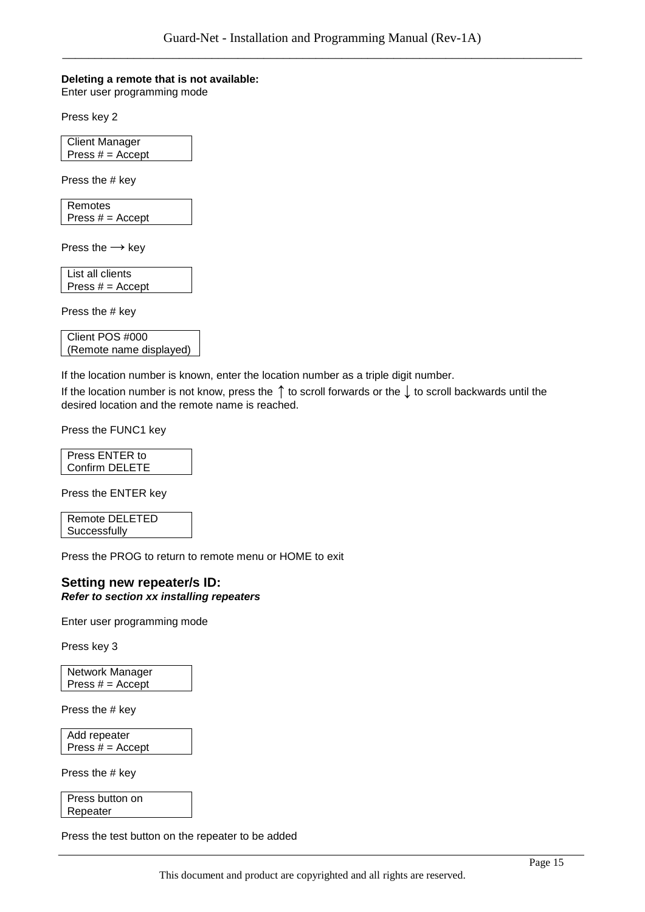#### **Deleting a remote that is not available:**

Enter user programming mode

Press key 2

Client Manager Press  $# =$  Accept

Press the # key

Remotes Press  $# =$  Accept

Press the **→** key

List all clients Press  $# =$  Accept

Press the # key

| Client POS #000         |
|-------------------------|
| (Remote name displayed) |

If the location number is known, enter the location number as a triple digit number.

If the location number is not know, press the **↑** to scroll forwards or the **↓** to scroll backwards until the desired location and the remote name is reached.

Press the FUNC1 key

| Press ENTER to |  |
|----------------|--|
| Confirm DELETE |  |

Press the ENTER key

Remote DELETED **Successfully** 

Press the PROG to return to remote menu or HOME to exit

#### **Setting new repeater/s ID:** *Refer to section xx installing repeaters*

Enter user programming mode

Press key 3

Network Manager Press  $# =$  Accept

Press the # key

Add repeater Press  $# =$  Accept

Press the # key

Press button on Repeater

Press the test button on the repeater to be added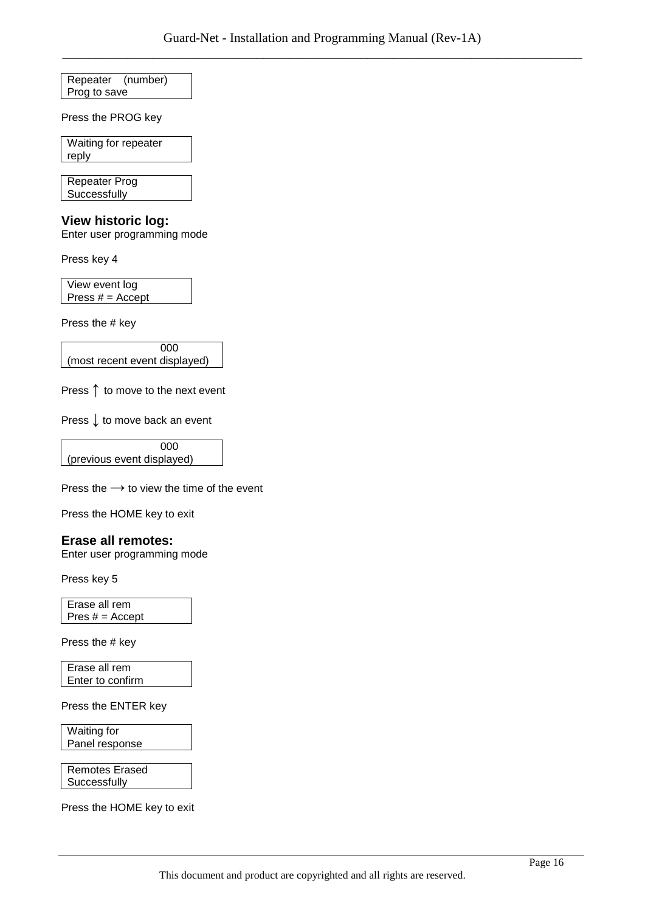Repeater (number) Prog to save

Press the PROG key

Waiting for repeater reply

Repeater Prog **Successfully** 

#### **View historic log:**

Enter user programming mode

Press key 4

View event log Press  $# =$  Accept

Press the # key

 000 (most recent event displayed)

Press **↑** to move to the next event

Press **↓** to move back an event

 000 (previous event displayed)

Press the **→** to view the time of the event

Press the HOME key to exit

#### **Erase all remotes:**

Enter user programming mode

Press key 5

Erase all rem Pres  $# =$  Accept

Press the # key

Erase all rem Enter to confirm

Press the ENTER key

Waiting for Panel response

Remotes Erased **Successfully** 

Press the HOME key to exit